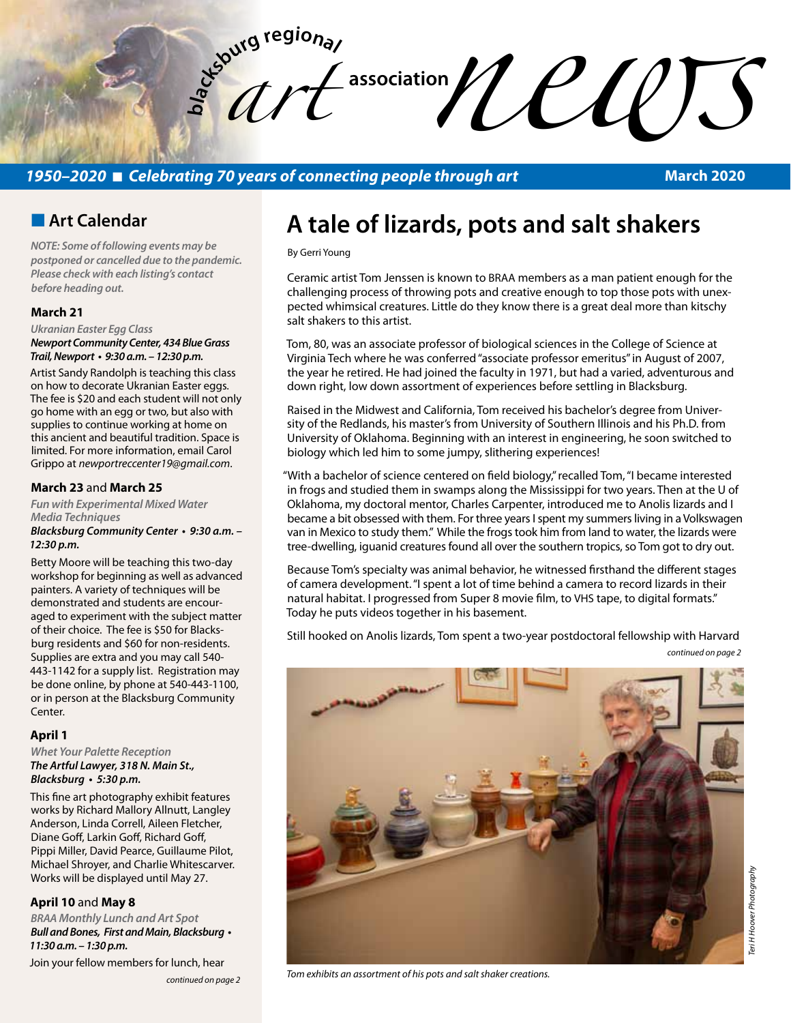

## *1950–2020* n *Celebrating 70 years of connecting people through art*

**March 2020**

## **n** Art Calendar

*NOTE: Some of following events may be postponed or cancelled due to the pandemic. Please check with each listing's contact before heading out.*

### **March 21**

*Ukranian Easter Egg Class Newport Community Center, 434 Blue Grass*  **Trail, Newport • 9:30 a.m. – 12:30 p.m.** 

Artist Sandy Randolph is teaching this class on how to decorate Ukranian Easter eggs. The fee is \$20 and each student will not only go home with an egg or two, but also with supplies to continue working at home on this ancient and beautiful tradition. Space is limited. For more information, email Carol Grippo at *newportreccenter19@gmail.com*.

### **March 23** and **March 25**

*Fun with Experimental Mixed Water Media Techniques*

### **Blacksburg Community Center • 9:30 a.m. – 12:30 p.m.**

Betty Moore will be teaching this two-day workshop for beginning as well as advanced painters. A variety of techniques will be demonstrated and students are encouraged to experiment with the subject matter of their choice. The fee is \$50 for Blacksburg residents and \$60 for non-residents. Supplies are extra and you may call 540- 443-1142 for a supply list. Registration may be done online, by phone at 540-443-1100, or in person at the Blacksburg Community Center.

### **April 1**

*Whet Your Palette Reception*  **The Artful Lawyer, 318 N. Main St., Blacksburg • 5:30 p.m.** 

This fine art photography exhibit features works by Richard Mallory Allnutt, Langley Anderson, Linda Correll, Aileen Fletcher, Diane Goff, Larkin Goff, Richard Goff, Pippi Miller, David Pearce, Guillaume Pilot, Michael Shroyer, and Charlie Whitescarver. Works will be displayed until May 27.

### **April 10** and **May 8**

*BRAA Monthly Lunch and Art Spot* **Bull and Bones, First and Main, Blacksburg • 11:30 a.m. – 1:30 p.m.**  Join your fellow members for lunch, hear

*continued on page 2*

# **A tale of lizards, pots and salt shakers**

By Gerri Young

Ceramic artist Tom Jenssen is known to BRAA members as a man patient enough for the challenging process of throwing pots and creative enough to top those pots with unexpected whimsical creatures. Little do they know there is a great deal more than kitschy salt shakers to this artist.

Tom, 80, was an associate professor of biological sciences in the College of Science at Virginia Tech where he was conferred "associate professor emeritus" in August of 2007, the year he retired. He had joined the faculty in 1971, but had a varied, adventurous and down right, low down assortment of experiences before settling in Blacksburg.

Raised in the Midwest and California, Tom received his bachelor's degree from University of the Redlands, his master's from University of Southern Illinois and his Ph.D. from University of Oklahoma. Beginning with an interest in engineering, he soon switched to biology which led him to some jumpy, slithering experiences!

"With a bachelor of science centered on field biology," recalled Tom, "I became interested in frogs and studied them in swamps along the Mississippi for two years. Then at the U of Oklahoma, my doctoral mentor, Charles Carpenter, introduced me to Anolis lizards and I became a bit obsessed with them. For three years I spent my summers living in a Volkswagen van in Mexico to study them." While the frogs took him from land to water, the lizards were tree-dwelling, iguanid creatures found all over the southern tropics, so Tom got to dry out.

Because Tom's specialty was animal behavior, he witnessed firsthand the different stages of camera development. "I spent a lot of time behind a camera to record lizards in their natural habitat. I progressed from Super 8 movie film, to VHS tape, to digital formats." Today he puts videos together in his basement.

Still hooked on Anolis lizards, Tom spent a two-year postdoctoral fellowship with Harvard *continued on page 2*



*Tom exhibits an assortment of his pots and salt shaker creations.*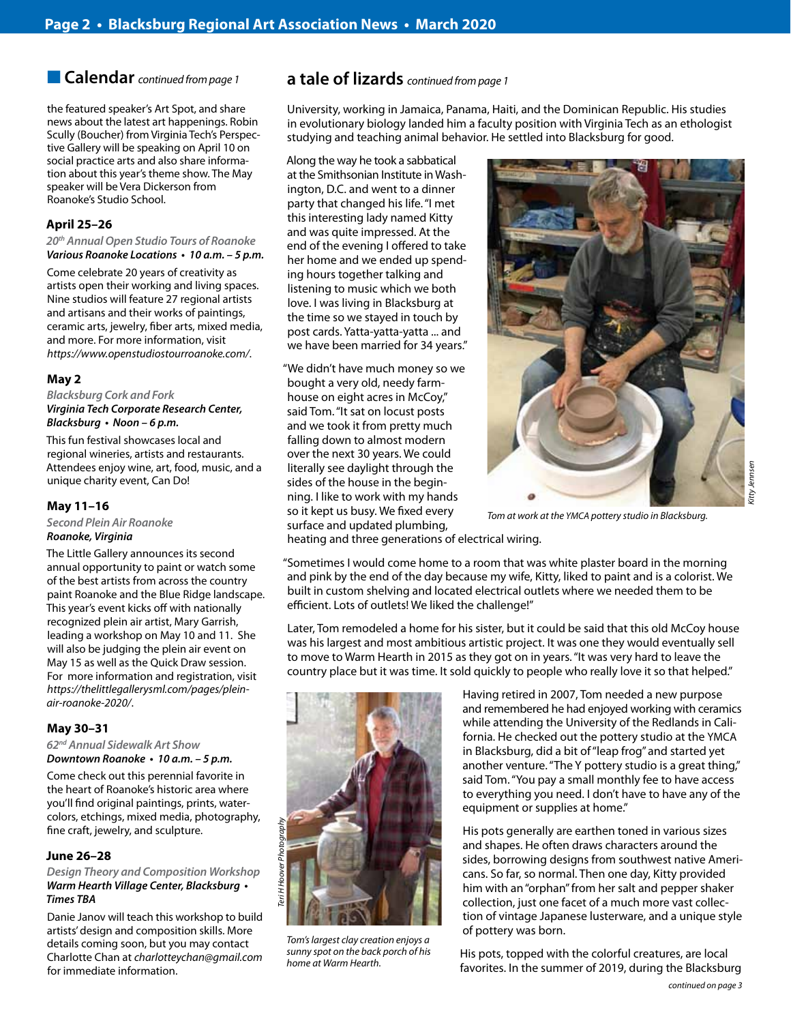## **n Calendar** *continued from page 1*

the featured speaker's Art Spot, and share news about the latest art happenings. Robin Scully (Boucher) from Virginia Tech's Perspective Gallery will be speaking on April 10 on social practice arts and also share information about this year's theme show. The May speaker will be Vera Dickerson from Roanoke's Studio School.

### **April 25–26**

**20***th Annual Open Studio Tours of Roanoke* **Various Roanoke Locations • 10 a.m. – 5 p.m.** 

Come celebrate 20 years of creativity as artists open their working and living spaces. Nine studios will feature 27 regional artists and artisans and their works of paintings, ceramic arts, jewelry, fiber arts, mixed media, and more. For more information, visit *https://www.openstudiostourroanoke.com/*.

### **May 2**

*Blacksburg Cork and Fork Virginia Tech Corporate Research Center,*  **Blacksburg • Noon – 6 p.m.** 

This fun festival showcases local and regional wineries, artists and restaurants. Attendees enjoy wine, art, food, music, and a unique charity event, Can Do!

#### **May 11–16**

*Second Plein Air Roanoke Roanoke, Virginia* 

The Little Gallery announces its second annual opportunity to paint or watch some of the best artists from across the country paint Roanoke and the Blue Ridge landscape. This year's event kicks off with nationally recognized plein air artist, Mary Garrish, leading a workshop on May 10 and 11. She will also be judging the plein air event on May 15 as well as the Quick Draw session. For more information and registration, visit *https://thelittlegallerysml.com/pages/pleinair-roanoke-2020/*.

### **May 30–31**

**62***nd Annual Sidewalk Art Show* **Downtown Roanoke • 10 a.m. – 5 p.m.** 

Come check out this perennial favorite in the heart of Roanoke's historic area where you'll find original paintings, prints, watercolors, etchings, mixed media, photography, fine craft, jewelry, and sculpture.

### **June 26–28**

*Design Theory and Composition Workshop* **Warm Hearth Village Center, Blacksburg •**  *Times TBA*

Danie Janov will teach this workshop to build artists' design and composition skills. More details coming soon, but you may contact Charlotte Chan at *charlotteychan@gmail.com* for immediate information.

## **a tale of lizards** *continued from page 1*

University, working in Jamaica, Panama, Haiti, and the Dominican Republic. His studies in evolutionary biology landed him a faculty position with Virginia Tech as an ethologist studying and teaching animal behavior. He settled into Blacksburg for good.

### Along the way he took a sabbatical at the Smithsonian Institute in Washington, D.C. and went to a dinner party that changed his life. "I met this interesting lady named Kitty and was quite impressed. At the end of the evening I offered to take her home and we ended up spending hours together talking and listening to music which we both love. I was living in Blacksburg at the time so we stayed in touch by post cards. Yatta-yatta-yatta ... and we have been married for 34 years."

"We didn't have much money so we bought a very old, needy farmhouse on eight acres in McCoy," said Tom. "It sat on locust posts and we took it from pretty much falling down to almost modern over the next 30 years. We could literally see daylight through the sides of the house in the beginning. I like to work with my hands so it kept us busy. We fixed every surface and updated plumbing,



*Tom at work at the YMCA pottery studio in Blacksburg.*

heating and three generations of electrical wiring.

"Sometimes I would come home to a room that was white plaster board in the morning and pink by the end of the day because my wife, Kitty, liked to paint and is a colorist. We built in custom shelving and located electrical outlets where we needed them to be efficient. Lots of outlets! We liked the challenge!"

Later, Tom remodeled a home for his sister, but it could be said that this old McCoy house was his largest and most ambitious artistic project. It was one they would eventually sell to move to Warm Hearth in 2015 as they got on in years. "It was very hard to leave the country place but it was time. It sold quickly to people who really love it so that helped."



*Tom's largest clay creation enjoys a sunny spot on the back porch of his home at Warm Hearth.*

Having retired in 2007, Tom needed a new purpose and remembered he had enjoyed working with ceramics while attending the University of the Redlands in California. He checked out the pottery studio at the YMCA in Blacksburg, did a bit of "leap frog" and started yet another venture. "The Y pottery studio is a great thing," said Tom. "You pay a small monthly fee to have access to everything you need. I don't have to have any of the equipment or supplies at home."

His pots generally are earthen toned in various sizes and shapes. He often draws characters around the sides, borrowing designs from southwest native Americans. So far, so normal. Then one day, Kitty provided him with an "orphan" from her salt and pepper shaker collection, just one facet of a much more vast collection of vintage Japanese lusterware, and a unique style of pottery was born.

 His pots, topped with the colorful creatures, are local favorites. In the summer of 2019, during the Blacksburg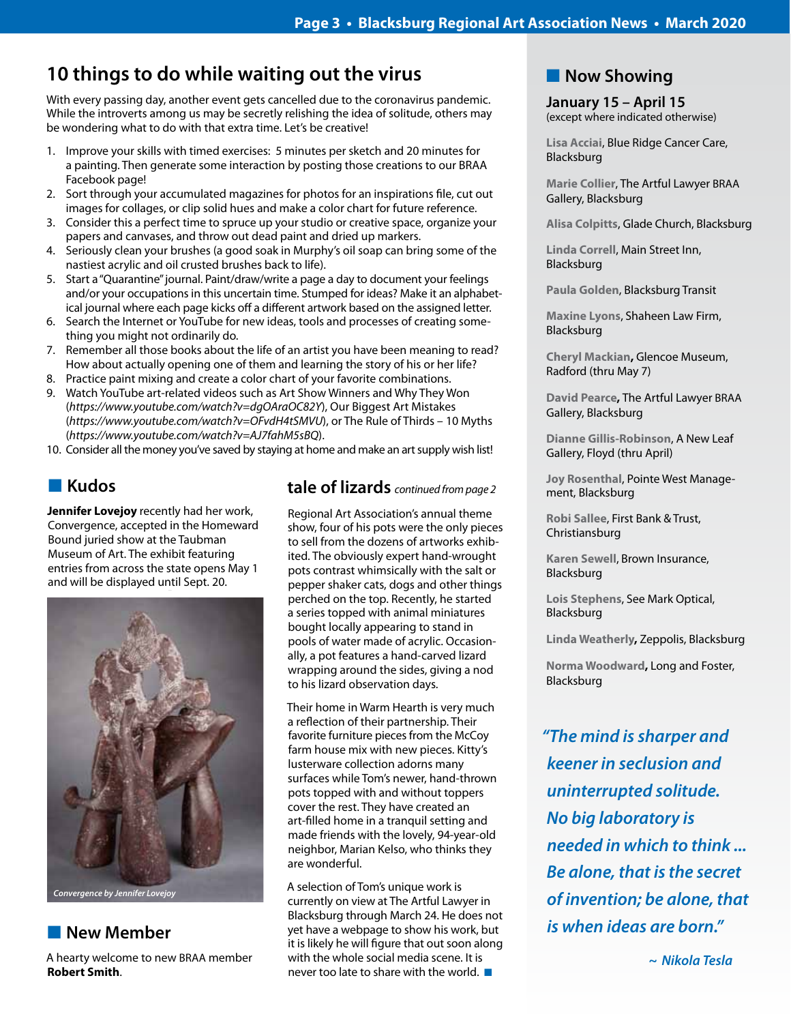## **10 things to do while waiting out the virus**

With every passing day, another event gets cancelled due to the coronavirus pandemic. While the introverts among us may be secretly relishing the idea of solitude, others may be wondering what to do with that extra time. Let's be creative!

- 1. Improve your skills with timed exercises: 5 minutes per sketch and 20 minutes for a painting. Then generate some interaction by posting those creations to our BRAA Facebook page!
- 2. Sort through your accumulated magazines for photos for an inspirations file, cut out images for collages, or clip solid hues and make a color chart for future reference.
- 3. Consider this a perfect time to spruce up your studio or creative space, organize your papers and canvases, and throw out dead paint and dried up markers.
- 4. Seriously clean your brushes (a good soak in Murphy's oil soap can bring some of the nastiest acrylic and oil crusted brushes back to life).
- 5. Start a "Quarantine" journal. Paint/draw/write a page a day to document your feelings and/or your occupations in this uncertain time. Stumped for ideas? Make it an alphabetical journal where each page kicks off a different artwork based on the assigned letter.
- 6. Search the Internet or YouTube for new ideas, tools and processes of creating something you might not ordinarily do.
- 7. Remember all those books about the life of an artist you have been meaning to read? How about actually opening one of them and learning the story of his or her life?
- 8. Practice paint mixing and create a color chart of your favorite combinations.
- 9. Watch YouTube art-related videos such as Art Show Winners and Why They Won (*https://www.youtube.com/watch?v=dgOAraOC82Y*), Our Biggest Art Mistakes (*https://www.youtube.com/watch?v=OFvdH4tSMVU*), or The Rule of Thirds – 10 Myths (*https://www.youtube.com/watch?v=AJ7fahM5sBQ*).

10. Consider all the money you've saved by staying at home and make an art supply wish list!

## n **Kudos**

**Jennifer Lovejoy** recently had her work, Convergence, accepted in the Homeward Bound juried show at the Taubman Museum of Art. The exhibit featuring entries from across the state opens May 1 and will be displayed until Sept. 20.



**New Member** 

A hearty welcome to new BRAA member **Robert Smith**.

## **tale of lizards** *continued from page 2*

Regional Art Association's annual theme show, four of his pots were the only pieces to sell from the dozens of artworks exhibited. The obviously expert hand-wrought pots contrast whimsically with the salt or pepper shaker cats, dogs and other things perched on the top. Recently, he started a series topped with animal miniatures bought locally appearing to stand in pools of water made of acrylic. Occasionally, a pot features a hand-carved lizard wrapping around the sides, giving a nod to his lizard observation days.

Their home in Warm Hearth is very much a reflection of their partnership. Their favorite furniture pieces from the McCoy farm house mix with new pieces. Kitty's lusterware collection adorns many surfaces while Tom's newer, hand-thrown pots topped with and without toppers cover the rest. They have created an art-filled home in a tranquil setting and made friends with the lovely, 94-year-old neighbor, Marian Kelso, who thinks they are wonderful.

A selection of Tom's unique work is currently on view at The Artful Lawyer in Blacksburg through March 24. He does not yet have a webpage to show his work, but it is likely he will figure that out soon along with the whole social media scene. It is never too late to share with the world.  $\blacksquare$ 

## **Now Showing**

**January 15 – April 15** (except where indicated otherwise)

**Lisa Acciai**, Blue Ridge Cancer Care, Blacksburg

**Marie Collier**, The Artful Lawyer BRAA Gallery, Blacksburg

**Alisa Colpitts**, Glade Church, Blacksburg

**Linda Correll**, Main Street Inn, Blacksburg

**Paula Golden**, Blacksburg Transit

**Maxine Lyons**, Shaheen Law Firm, Blacksburg

**Cheryl Mackian,** Glencoe Museum, Radford (thru May 7)

**David Pearce,** The Artful Lawyer BRAA Gallery, Blacksburg

**Dianne Gillis-Robinson**, A New Leaf Gallery, Floyd (thru April)

**Joy Rosenthal**, Pointe West Management, Blacksburg

**Robi Sallee**, First Bank & Trust, Christiansburg

**Karen Sewell**, Brown Insurance, Blacksburg

**Lois Stephens**, See Mark Optical, Blacksburg

**Linda Weatherly,** Zeppolis, Blacksburg

**Norma Woodward,** Long and Foster, Blacksburg

*"The mind is sharper and keener in seclusion and uninterrupted solitude. No big laboratory is needed in which to think ... Be alone, that is the secret of invention; be alone, that is when ideas are born."* 

 *~ Nikola Tesla*